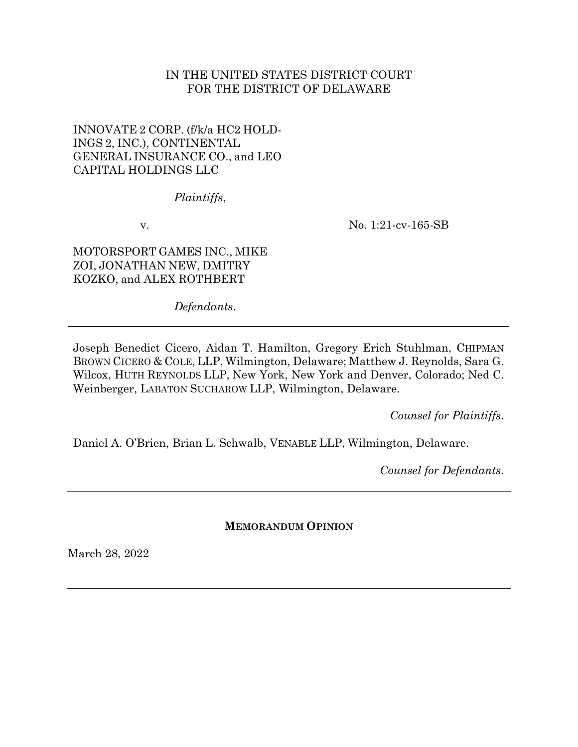## IN THE UNITED STATES DISTRICT COURT FOR THE DISTRICT OF DELAWARE

# INNOVATE 2 CORP. (f/k/a HC2 HOLD-INGS 2, INC.), CONTINENTAL GENERAL INSURANCE CO., and LEO CAPITAL HOLDINGS LLC

## *Plaintiffs*,

v.

No. 1:21-cv-165-SB

MOTORSPORT GAMES INC., MIKE ZOI, JONATHAN NEW, DMITRY KOZKO, and ALEX ROTHBERT

*Defendants*.

Joseph Benedict Cicero, Aidan T. Hamilton, Gregory Erich Stuhlman, CHIPMAN BROWN CICERO & COLE, LLP, Wilmington, Delaware; Matthew J. Reynolds, Sara G. Wilcox, HUTH REYNOLDS LLP, New York, New York and Denver, Colorado; Ned C. Weinberger, LABATON SUCHAROW LLP, Wilmington, Delaware.

*Counsel for Plaintiffs*.

Daniel A. O'Brien, Brian L. Schwalb, VENABLE LLP, Wilmington, Delaware.

*Counsel for Defendants*.

**MEMORANDUM OPINION**

March 28, 2022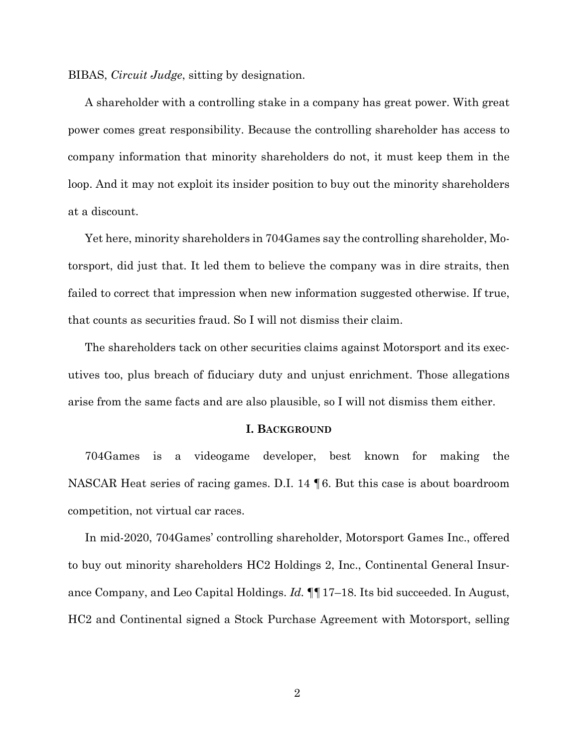BIBAS, *Circuit Judge*, sitting by designation.

A shareholder with a controlling stake in a company has great power. With great power comes great responsibility. Because the controlling shareholder has access to company information that minority shareholders do not, it must keep them in the loop. And it may not exploit its insider position to buy out the minority shareholders at a discount.

Yet here, minority shareholders in 704Games say the controlling shareholder, Motorsport, did just that. It led them to believe the company was in dire straits, then failed to correct that impression when new information suggested otherwise. If true, that counts as securities fraud. So I will not dismiss their claim.

The shareholders tack on other securities claims against Motorsport and its executives too, plus breach of fiduciary duty and unjust enrichment. Those allegations arise from the same facts and are also plausible, so I will not dismiss them either.

#### **I. BACKGROUND**

704Games is a videogame developer, best known for making the NASCAR Heat series of racing games. D.I. 14 ¶6. But this case is about boardroom competition, not virtual car races.

In mid-2020, 704Games' controlling shareholder, Motorsport Games Inc., offered to buy out minority shareholders HC2 Holdings 2, Inc., Continental General Insurance Company, and Leo Capital Holdings. *Id.* ¶¶17–18. Its bid succeeded. In August, HC2 and Continental signed a Stock Purchase Agreement with Motorsport, selling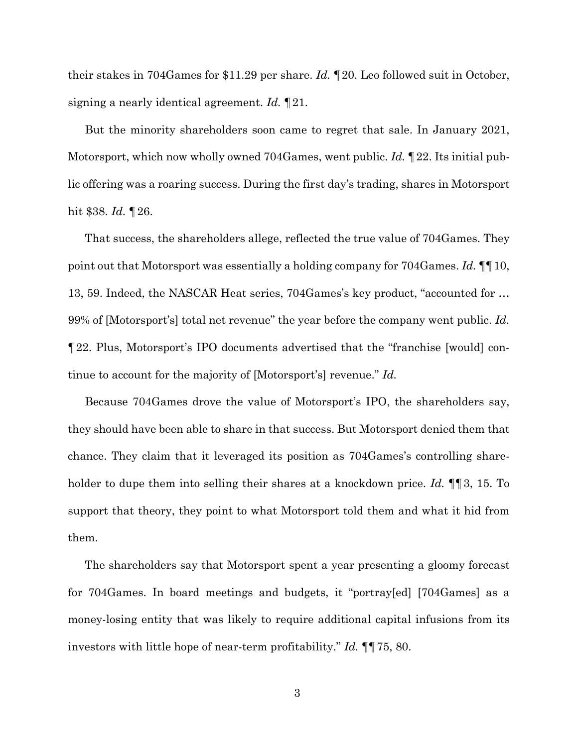their stakes in 704Games for \$11.29 per share. *Id.* ¶20. Leo followed suit in October, signing a nearly identical agreement. *Id.* ¶21.

But the minority shareholders soon came to regret that sale. In January 2021, Motorsport, which now wholly owned 704Games, went public. *Id.* ¶22. Its initial public offering was a roaring success. During the first day's trading, shares in Motorsport hit \$38. *Id.* ¶26.

That success, the shareholders allege, reflected the true value of 704Games. They point out that Motorsport was essentially a holding company for 704Games. *Id.* ¶¶10, 13, 59. Indeed, the NASCAR Heat series, 704Games's key product, "accounted for … 99% of [Motorsport's] total net revenue" the year before the company went public. *Id.* ¶22. Plus, Motorsport's IPO documents advertised that the "franchise [would] continue to account for the majority of [Motorsport's] revenue." *Id.*

Because 704Games drove the value of Motorsport's IPO, the shareholders say, they should have been able to share in that success. But Motorsport denied them that chance. They claim that it leveraged its position as 704Games's controlling shareholder to dupe them into selling their shares at a knockdown price. *Id.* ¶¶3, 15. To support that theory, they point to what Motorsport told them and what it hid from them.

The shareholders say that Motorsport spent a year presenting a gloomy forecast for 704Games. In board meetings and budgets, it "portray[ed] [704Games] as a money-losing entity that was likely to require additional capital infusions from its investors with little hope of near-term profitability." *Id.* ¶¶75, 80.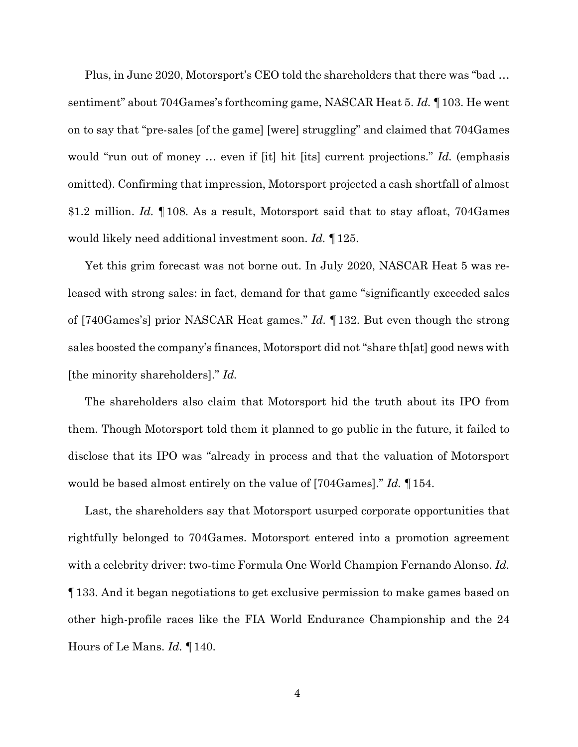Plus, in June 2020, Motorsport's CEO told the shareholders that there was "bad … sentiment" about 704Games's forthcoming game, NASCAR Heat 5. *Id.* ¶103. He went on to say that "pre-sales [of the game] [were] struggling" and claimed that 704Games would "run out of money … even if [it] hit [its] current projections." *Id.* (emphasis omitted). Confirming that impression, Motorsport projected a cash shortfall of almost \$1.2 million. *Id.* ¶108. As a result, Motorsport said that to stay afloat, 704Games would likely need additional investment soon. *Id.* ¶125.

Yet this grim forecast was not borne out. In July 2020, NASCAR Heat 5 was released with strong sales: in fact, demand for that game "significantly exceeded sales of [740Games's] prior NASCAR Heat games." *Id.* ¶132. But even though the strong sales boosted the company's finances, Motorsport did not "share th[at] good news with [the minority shareholders]." *Id.*

The shareholders also claim that Motorsport hid the truth about its IPO from them. Though Motorsport told them it planned to go public in the future, it failed to disclose that its IPO was "already in process and that the valuation of Motorsport would be based almost entirely on the value of [704Games]." *Id.* ¶154.

Last, the shareholders say that Motorsport usurped corporate opportunities that rightfully belonged to 704Games. Motorsport entered into a promotion agreement with a celebrity driver: two-time Formula One World Champion Fernando Alonso. *Id.*  ¶133. And it began negotiations to get exclusive permission to make games based on other high-profile races like the FIA World Endurance Championship and the 24 Hours of Le Mans. *Id.* ¶140.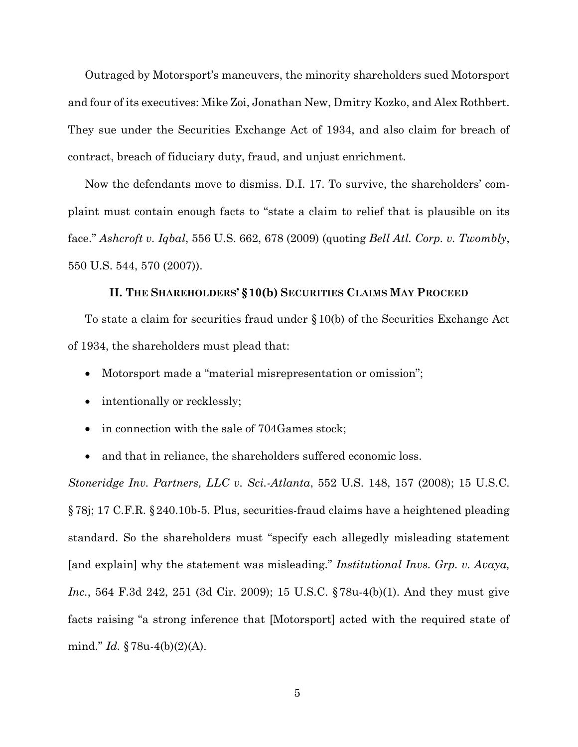Outraged by Motorsport's maneuvers, the minority shareholders sued Motorsport and four of its executives: Mike Zoi, Jonathan New, Dmitry Kozko, and Alex Rothbert. They sue under the Securities Exchange Act of 1934, and also claim for breach of contract, breach of fiduciary duty, fraud, and unjust enrichment.

Now the defendants move to dismiss. D.I. 17. To survive, the shareholders' complaint must contain enough facts to "state a claim to relief that is plausible on its face." *Ashcroft v. Iqbal*, 556 U.S. 662, 678 (2009) (quoting *Bell Atl. Corp. v. Twombly*, 550 U.S. 544, 570 (2007)).

### **II. THE SHAREHOLDERS' §10(b) SECURITIES CLAIMS MAY PROCEED**

To state a claim for securities fraud under §10(b) of the Securities Exchange Act of 1934, the shareholders must plead that:

- Motorsport made a "material misrepresentation or omission";
- intentionally or recklessly;
- in connection with the sale of 704Games stock;
- and that in reliance, the shareholders suffered economic loss.

*Stoneridge Inv. Partners, LLC v. Sci.-Atlanta*, 552 U.S. 148, 157 (2008); 15 U.S.C. §78j; 17 C.F.R. §240.10b-5. Plus, securities-fraud claims have a heightened pleading standard. So the shareholders must "specify each allegedly misleading statement [and explain] why the statement was misleading." *Institutional Invs. Grp. v. Avaya, Inc.*, 564 F.3d 242, 251 (3d Cir. 2009); 15 U.S.C. §78u-4(b)(1). And they must give facts raising "a strong inference that [Motorsport] acted with the required state of mind." *Id.* §78u-4(b)(2)(A).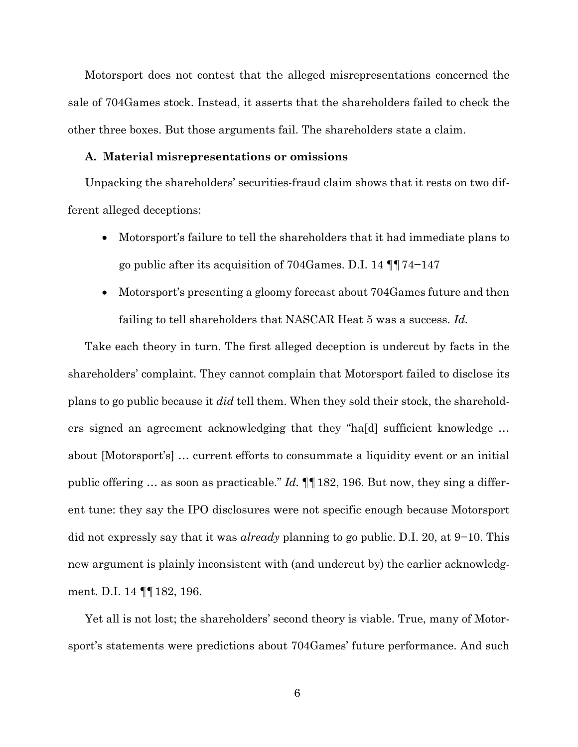Motorsport does not contest that the alleged misrepresentations concerned the sale of 704Games stock. Instead, it asserts that the shareholders failed to check the other three boxes. But those arguments fail. The shareholders state a claim.

### **A. Material misrepresentations or omissions**

Unpacking the shareholders' securities-fraud claim shows that it rests on two different alleged deceptions:

- Motorsport's failure to tell the shareholders that it had immediate plans to go public after its acquisition of 704Games. D.I. 14 ¶¶74−147
- Motorsport's presenting a gloomy forecast about 704Games future and then failing to tell shareholders that NASCAR Heat 5 was a success. *Id.*

Take each theory in turn. The first alleged deception is undercut by facts in the shareholders' complaint. They cannot complain that Motorsport failed to disclose its plans to go public because it *did* tell them. When they sold their stock, the shareholders signed an agreement acknowledging that they "ha[d] sufficient knowledge … about [Motorsport's] … current efforts to consummate a liquidity event or an initial public offering … as soon as practicable." *Id.* ¶¶182, 196. But now, they sing a different tune: they say the IPO disclosures were not specific enough because Motorsport did not expressly say that it was *already* planning to go public. D.I. 20, at 9−10. This new argument is plainly inconsistent with (and undercut by) the earlier acknowledgment. D.I. 14 ¶¶182, 196.

Yet all is not lost; the shareholders' second theory is viable. True, many of Motorsport's statements were predictions about 704Games' future performance. And such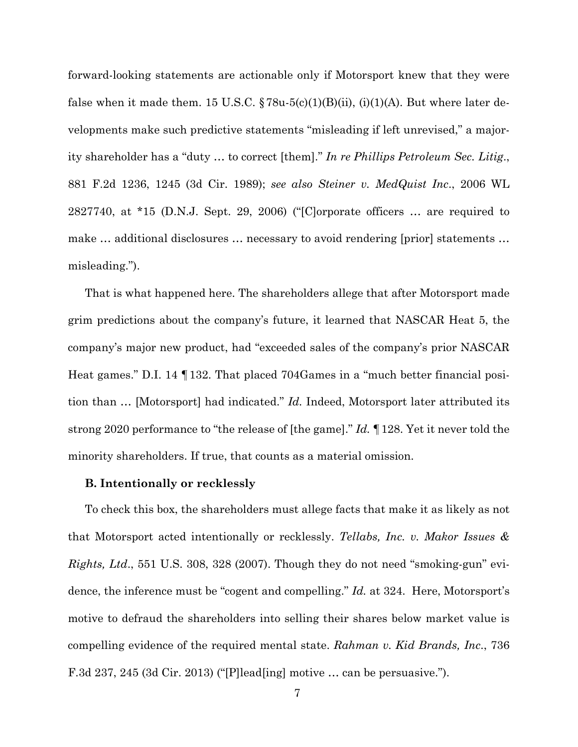forward-looking statements are actionable only if Motorsport knew that they were false when it made them. 15 U.S.C.  $\S 78u-5(c)(1)(B)(ii)$ , (i)(1)(A). But where later developments make such predictive statements "misleading if left unrevised," a majority shareholder has a "duty … to correct [them]." *In re Phillips Petroleum Sec. Litig*., 881 F.2d 1236, 1245 (3d Cir. 1989); *see also Steiner v. MedQuist Inc*., 2006 WL 2827740, at \*15 (D.N.J. Sept. 29, 2006) ("[C]orporate officers … are required to make … additional disclosures … necessary to avoid rendering [prior] statements … misleading.").

That is what happened here. The shareholders allege that after Motorsport made grim predictions about the company's future, it learned that NASCAR Heat 5, the company's major new product, had "exceeded sales of the company's prior NASCAR Heat games." D.I. 14 ¶132. That placed 704Games in a "much better financial position than … [Motorsport] had indicated." *Id.* Indeed, Motorsport later attributed its strong 2020 performance to "the release of [the game]." *Id.* ¶128. Yet it never told the minority shareholders. If true, that counts as a material omission.

#### **B. Intentionally or recklessly**

To check this box, the shareholders must allege facts that make it as likely as not that Motorsport acted intentionally or recklessly. *Tellabs, Inc. v. Makor Issues & Rights, Ltd*., 551 U.S. 308, 328 (2007). Though they do not need "smoking-gun" evidence, the inference must be "cogent and compelling." *Id.* at 324.Here, Motorsport's motive to defraud the shareholders into selling their shares below market value is compelling evidence of the required mental state. *Rahman v. Kid Brands, Inc*., 736 F.3d 237, 245 (3d Cir. 2013) ("[P]lead[ing] motive … can be persuasive.").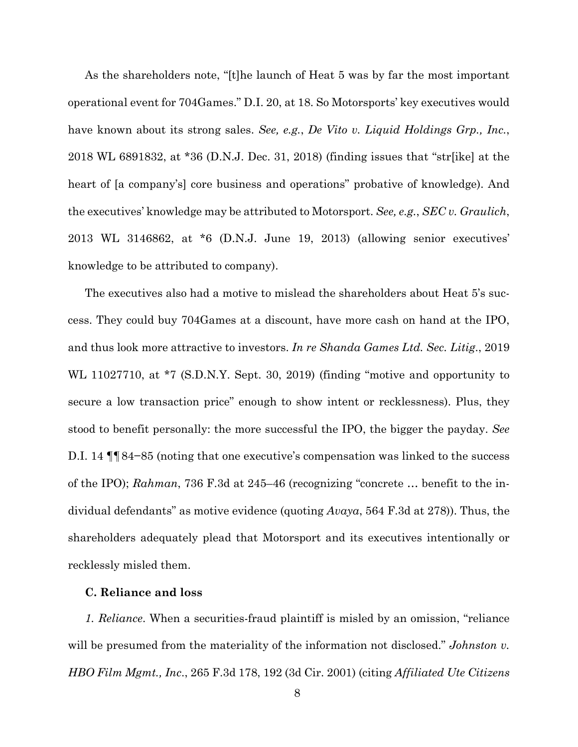As the shareholders note, "[t]he launch of Heat 5 was by far the most important operational event for 704Games." D.I. 20, at 18. So Motorsports' key executives would have known about its strong sales. *See, e.g.*, *De Vito v. Liquid Holdings Grp., Inc.*, 2018 WL 6891832, at \*36 (D.N.J. Dec. 31, 2018) (finding issues that "str[ike] at the heart of [a company's] core business and operations" probative of knowledge). And the executives' knowledge may be attributed to Motorsport. *See, e.g.*, *SEC v. Graulich*, 2013 WL 3146862, at \*6 (D.N.J. June 19, 2013) (allowing senior executives' knowledge to be attributed to company).

The executives also had a motive to mislead the shareholders about Heat 5's success. They could buy 704Games at a discount, have more cash on hand at the IPO, and thus look more attractive to investors. *In re Shanda Games Ltd. Sec. Litig*., 2019 WL 11027710, at \*7 (S.D.N.Y. Sept. 30, 2019) (finding "motive and opportunity to secure a low transaction price" enough to show intent or recklessness). Plus, they stood to benefit personally: the more successful the IPO, the bigger the payday. *See* D.I. 14 ¶¶84−85 (noting that one executive's compensation was linked to the success of the IPO); *Rahman*, 736 F.3d at 245–46 (recognizing "concrete … benefit to the individual defendants" as motive evidence (quoting *Avaya*, 564 F.3d at 278)). Thus, the shareholders adequately plead that Motorsport and its executives intentionally or recklessly misled them.

## **C. Reliance and loss**

*1. Reliance*. When a securities-fraud plaintiff is misled by an omission, "reliance will be presumed from the materiality of the information not disclosed." *Johnston v. HBO Film Mgmt., Inc*., 265 F.3d 178, 192 (3d Cir. 2001) (citing *Affiliated Ute Citizens*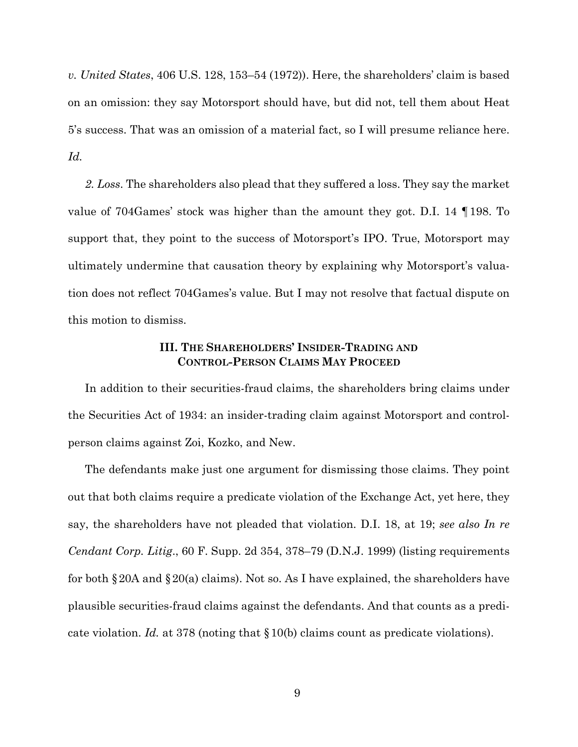*v. United States*, 406 U.S. 128, 153–54 (1972)). Here, the shareholders' claim is based on an omission: they say Motorsport should have, but did not, tell them about Heat 5's success. That was an omission of a material fact, so I will presume reliance here. *Id.* 

*2. Loss*. The shareholders also plead that they suffered a loss. They say the market value of 704Games' stock was higher than the amount they got. D.I. 14 ¶198. To support that, they point to the success of Motorsport's IPO. True, Motorsport may ultimately undermine that causation theory by explaining why Motorsport's valuation does not reflect 704Games's value. But I may not resolve that factual dispute on this motion to dismiss.

## **III. THE SHAREHOLDERS' INSIDER-TRADING AND CONTROL-PERSON CLAIMS MAY PROCEED**

In addition to their securities-fraud claims, the shareholders bring claims under the Securities Act of 1934: an insider-trading claim against Motorsport and controlperson claims against Zoi, Kozko, and New.

The defendants make just one argument for dismissing those claims. They point out that both claims require a predicate violation of the Exchange Act, yet here, they say, the shareholders have not pleaded that violation. D.I. 18, at 19; *see also In re Cendant Corp. Litig*., 60 F. Supp. 2d 354, 378–79 (D.N.J. 1999) (listing requirements for both  $\S 20A$  and  $\S 20(a)$  claims). Not so. As I have explained, the shareholders have plausible securities-fraud claims against the defendants. And that counts as a predicate violation. *Id.* at 378 (noting that §10(b) claims count as predicate violations).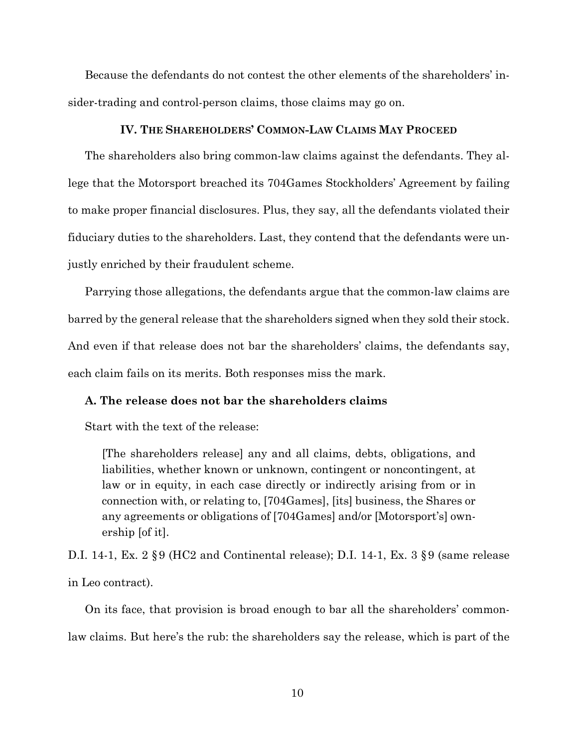Because the defendants do not contest the other elements of the shareholders' insider-trading and control-person claims, those claims may go on.

## **IV. THE SHAREHOLDERS' COMMON-LAW CLAIMS MAY PROCEED**

The shareholders also bring common-law claims against the defendants. They allege that the Motorsport breached its 704Games Stockholders' Agreement by failing to make proper financial disclosures. Plus, they say, all the defendants violated their fiduciary duties to the shareholders. Last, they contend that the defendants were unjustly enriched by their fraudulent scheme.

Parrying those allegations, the defendants argue that the common-law claims are barred by the general release that the shareholders signed when they sold their stock. And even if that release does not bar the shareholders' claims, the defendants say, each claim fails on its merits. Both responses miss the mark.

### **A. The release does not bar the shareholders claims**

Start with the text of the release:

[The shareholders release] any and all claims, debts, obligations, and liabilities, whether known or unknown, contingent or noncontingent, at law or in equity, in each case directly or indirectly arising from or in connection with, or relating to, [704Games], [its] business, the Shares or any agreements or obligations of [704Games] and/or [Motorsport's] ownership [of it].

D.I. 14-1, Ex. 2 §9 (HC2 and Continental release); D.I. 14-1, Ex. 3 §9 (same release in Leo contract).

On its face, that provision is broad enough to bar all the shareholders' commonlaw claims. But here's the rub: the shareholders say the release, which is part of the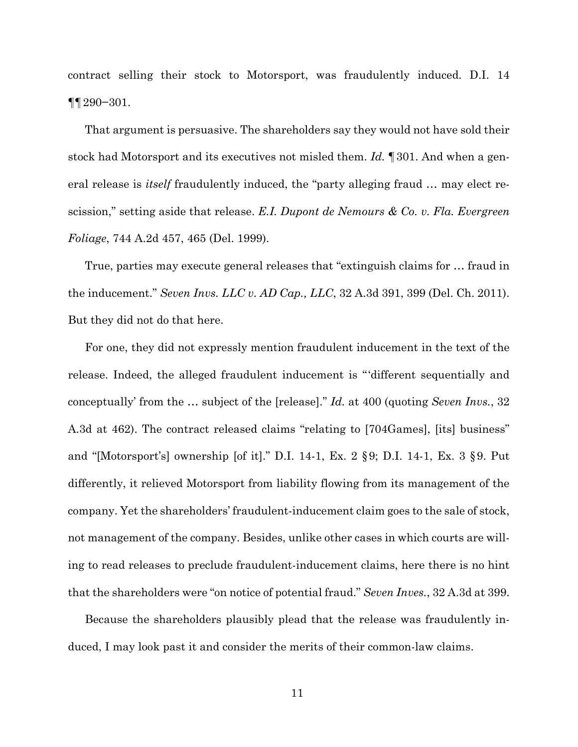contract selling their stock to Motorsport, was fraudulently induced. D.I. 14 ¶¶290−301.

That argument is persuasive. The shareholders say they would not have sold their stock had Motorsport and its executives not misled them. *Id.* ¶301. And when a general release is *itself* fraudulently induced, the "party alleging fraud … may elect rescission," setting aside that release. *E.I. Dupont de Nemours & Co. v. Fla. Evergreen Foliage*, 744 A.2d 457, 465 (Del. 1999).

True, parties may execute general releases that "extinguish claims for … fraud in the inducement." *Seven Invs. LLC v. AD Cap., LLC*, 32 A.3d 391, 399 (Del. Ch. 2011). But they did not do that here.

For one, they did not expressly mention fraudulent inducement in the text of the release. Indeed, the alleged fraudulent inducement is "'different sequentially and conceptually' from the … subject of the [release]." *Id.* at 400 (quoting *Seven Invs.*, 32 A.3d at 462). The contract released claims "relating to [704Games], [its] business" and "[Motorsport's] ownership [of it]." D.I. 14-1, Ex. 2 §9; D.I. 14-1, Ex. 3 §9. Put differently, it relieved Motorsport from liability flowing from its management of the company. Yet the shareholders' fraudulent-inducement claim goes to the sale of stock, not management of the company. Besides, unlike other cases in which courts are willing to read releases to preclude fraudulent-inducement claims, here there is no hint that the shareholders were "on notice of potential fraud." *Seven Inves.*, 32 A.3d at 399.

Because the shareholders plausibly plead that the release was fraudulently induced, I may look past it and consider the merits of their common-law claims.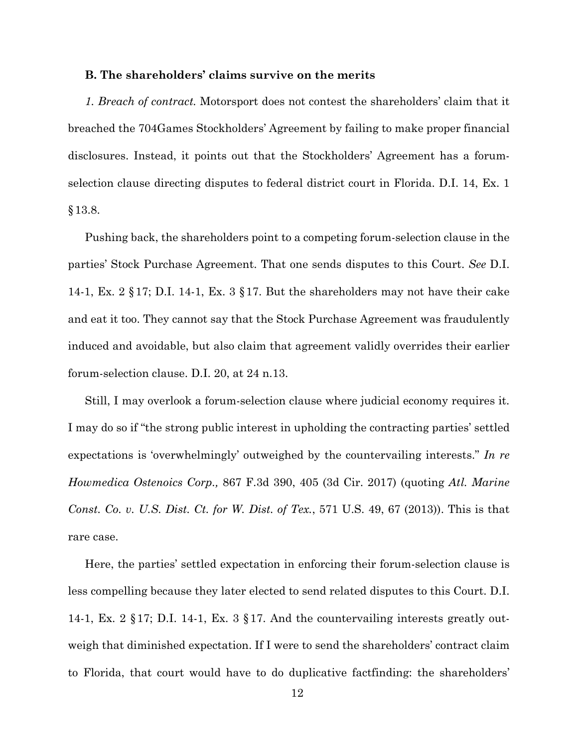### **B. The shareholders' claims survive on the merits**

*1. Breach of contract.* Motorsport does not contest the shareholders' claim that it breached the 704Games Stockholders' Agreement by failing to make proper financial disclosures. Instead, it points out that the Stockholders' Agreement has a forumselection clause directing disputes to federal district court in Florida. D.I. 14, Ex. 1 §13.8.

Pushing back, the shareholders point to a competing forum-selection clause in the parties' Stock Purchase Agreement. That one sends disputes to this Court. *See* D.I. 14-1, Ex. 2 §17; D.I. 14-1, Ex. 3 §17. But the shareholders may not have their cake and eat it too. They cannot say that the Stock Purchase Agreement was fraudulently induced and avoidable, but also claim that agreement validly overrides their earlier forum-selection clause. D.I. 20, at 24 n.13.

Still, I may overlook a forum-selection clause where judicial economy requires it. I may do so if "the strong public interest in upholding the contracting parties' settled expectations is 'overwhelmingly' outweighed by the countervailing interests." *In re Howmedica Ostenoics Corp.,* 867 F.3d 390, 405 (3d Cir. 2017) (quoting *Atl. Marine Const. Co. v. U.S. Dist. Ct. for W. Dist. of Tex.*, 571 U.S. 49, 67 (2013)). This is that rare case.

Here, the parties' settled expectation in enforcing their forum-selection clause is less compelling because they later elected to send related disputes to this Court. D.I. 14-1, Ex. 2 §17; D.I. 14-1, Ex. 3 §17. And the countervailing interests greatly outweigh that diminished expectation. If I were to send the shareholders' contract claim to Florida, that court would have to do duplicative factfinding: the shareholders'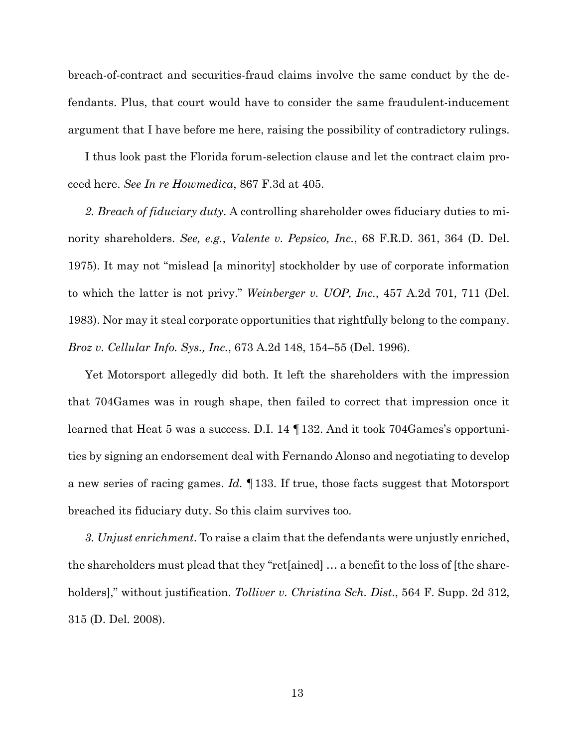breach-of-contract and securities-fraud claims involve the same conduct by the defendants. Plus, that court would have to consider the same fraudulent-inducement argument that I have before me here, raising the possibility of contradictory rulings.

I thus look past the Florida forum-selection clause and let the contract claim proceed here. *See In re Howmedica*, 867 F.3d at 405.

*2. Breach of fiduciary duty*. A controlling shareholder owes fiduciary duties to minority shareholders. *See, e.g.*, *Valente v. Pepsico, Inc.*, 68 F.R.D. 361, 364 (D. Del. 1975). It may not "mislead [a minority] stockholder by use of corporate information to which the latter is not privy." *Weinberger v. UOP, Inc.*, 457 A.2d 701, 711 (Del. 1983). Nor may it steal corporate opportunities that rightfully belong to the company. *Broz v. Cellular Info. Sys., Inc.*, 673 A.2d 148, 154–55 (Del. 1996).

Yet Motorsport allegedly did both. It left the shareholders with the impression that 704Games was in rough shape, then failed to correct that impression once it learned that Heat 5 was a success. D.I. 14 ¶132. And it took 704Games's opportunities by signing an endorsement deal with Fernando Alonso and negotiating to develop a new series of racing games. *Id.* ¶133. If true, those facts suggest that Motorsport breached its fiduciary duty. So this claim survives too.

*3. Unjust enrichment*. To raise a claim that the defendants were unjustly enriched, the shareholders must plead that they "ret[ained] … a benefit to the loss of [the shareholders]," without justification. *Tolliver v. Christina Sch. Dist*., 564 F. Supp. 2d 312, 315 (D. Del. 2008).